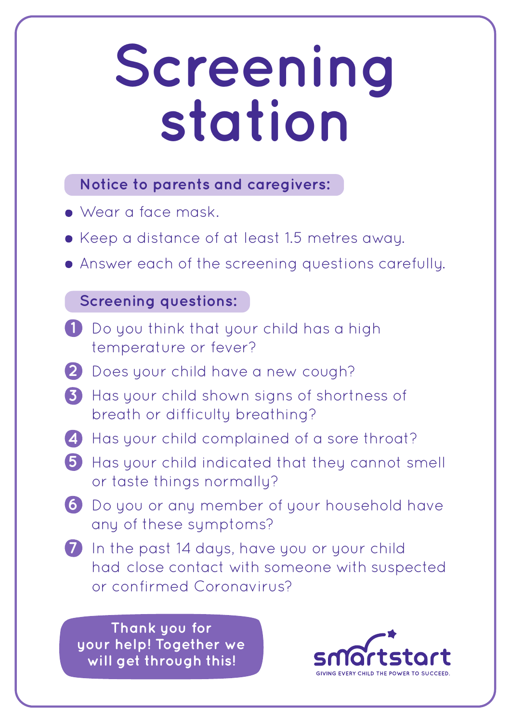## **Screening station**

### **Notice to parents and caregivers:**

- Wear a face mask.
- Keep a distance of at least 1.5 metres away.
- Answer each of the screening questions carefully.

### **Screening questions:**

- Do you think that your child has a high **1** temperature or fever?
- Does your child have a new cough? **2**
- Has your child shown signs of shortness of **3** breath or difficulty breathing?
- Has your child complained of a sore throat? **4**
- **5** Has your child indicated that they cannot smell or taste things normally?
- Do you or any member of your household have **6** any of these symptoms?
- In the past 14 days, have you or your child **7** had close contact with someone with suspected or confirmed Coronavirus?

**Thank you for your help! Together we will get through this!**